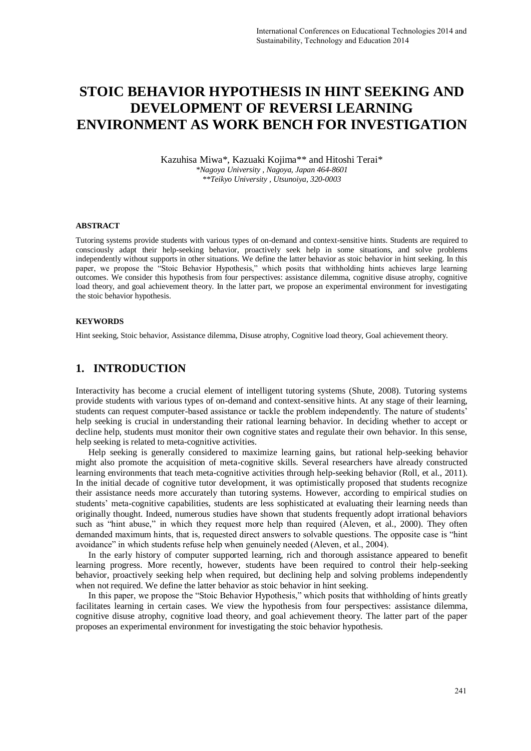# **STOIC BEHAVIOR HYPOTHESIS IN HINT SEEKING AND DEVELOPMENT OF REVERSI LEARNING ENVIRONMENT AS WORK BENCH FOR INVESTIGATION**

Kazuhisa Miwa\*, Kazuaki Kojima\*\* and Hitoshi Terai\* *\*Nagoya University , Nagoya, Japan 464-8601 \*\*Teikyo University , Utsunoiya, 320-0003* 

#### **ABSTRACT**

Tutoring systems provide students with various types of on-demand and context-sensitive hints. Students are required to consciously adapt their help-seeking behavior, proactively seek help in some situations, and solve problems independently without supports in other situations. We define the latter behavior as stoic behavior in hint seeking. In this paper, we propose the "Stoic Behavior Hypothesis," which posits that withholding hints achieves large learning outcomes. We consider this hypothesis from four perspectives: assistance dilemma, cognitive disuse atrophy, cognitive load theory, and goal achievement theory. In the latter part, we propose an experimental environment for investigating the stoic behavior hypothesis.

#### **KEYWORDS**

Hint seeking, Stoic behavior, Assistance dilemma, Disuse atrophy, Cognitive load theory, Goal achievement theory.

### **1. INTRODUCTION**

Interactivity has become a crucial element of intelligent tutoring systems (Shute, 2008). Tutoring systems provide students with various types of on-demand and context-sensitive hints. At any stage of their learning, students can request computer-based assistance or tackle the problem independently. The nature of students' help seeking is crucial in understanding their rational learning behavior. In deciding whether to accept or decline help, students must monitor their own cognitive states and regulate their own behavior. In this sense, help seeking is related to meta-cognitive activities.

Help seeking is generally considered to maximize learning gains, but rational help-seeking behavior might also promote the acquisition of meta-cognitive skills. Several researchers have already constructed learning environments that teach meta-cognitive activities through help-seeking behavior (Roll, et al., 2011). In the initial decade of cognitive tutor development, it was optimistically proposed that students recognize their assistance needs more accurately than tutoring systems. However, according to empirical studies on students' meta-cognitive capabilities, students are less sophisticated at evaluating their learning needs than originally thought. Indeed, numerous studies have shown that students frequently adopt irrational behaviors such as "hint abuse," in which they request more help than required (Aleven, et al., 2000). They often demanded maximum hints, that is, requested direct answers to solvable questions. The opposite case is "hint avoidance" in which students refuse help when genuinely needed (Aleven, et al., 2004).

In the early history of computer supported learning, rich and thorough assistance appeared to benefit learning progress. More recently, however, students have been required to control their help-seeking behavior, proactively seeking help when required, but declining help and solving problems independently when not required. We define the latter behavior as stoic behavior in hint seeking.

In this paper, we propose the "Stoic Behavior Hypothesis," which posits that withholding of hints greatly facilitates learning in certain cases. We view the hypothesis from four perspectives: assistance dilemma, cognitive disuse atrophy, cognitive load theory, and goal achievement theory. The latter part of the paper proposes an experimental environment for investigating the stoic behavior hypothesis.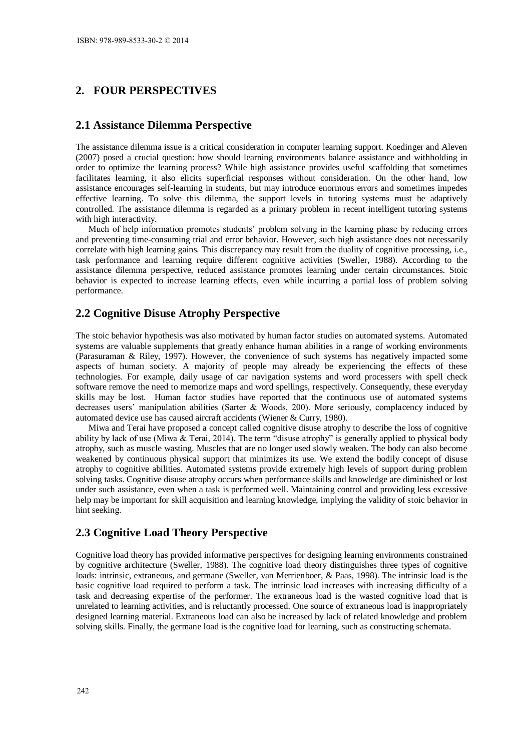# **2. FOUR PERSPECTIVES**

#### **2.1 Assistance Dilemma Perspective**

The assistance dilemma issue is a critical consideration in computer learning support. Koedinger and Aleven (2007) posed a crucial question: how should learning environments balance assistance and withholding in order to optimize the learning process? While high assistance provides useful scaffolding that sometimes facilitates learning, it also elicits superficial responses without consideration. On the other hand, low assistance encourages self-learning in students, but may introduce enormous errors and sometimes impedes effective learning. To solve this dilemma, the support levels in tutoring systems must be adaptively controlled. The assistance dilemma is regarded as a primary problem in recent intelligent tutoring systems with high interactivity.

Much of help information promotes students' problem solving in the learning phase by reducing errors and preventing time-consuming trial and error behavior. However, such high assistance does not necessarily correlate with high learning gains. This discrepancy may result from the duality of cognitive processing, i.e., task performance and learning require different cognitive activities (Sweller, 1988). According to the assistance dilemma perspective, reduced assistance promotes learning under certain circumstances. Stoic behavior is expected to increase learning effects, even while incurring a partial loss of problem solving performance.

#### **2.2 Cognitive Disuse Atrophy Perspective**

The stoic behavior hypothesis was also motivated by human factor studies on automated systems. Automated systems are valuable supplements that greatly enhance human abilities in a range of working environments (Parasuraman & Riley, 1997). However, the convenience of such systems has negatively impacted some aspects of human society. A majority of people may already be experiencing the effects of these technologies. For example, daily usage of car navigation systems and word processers with spell check software remove the need to memorize maps and word spellings, respectively. Consequently, these everyday skills may be lost. Human factor studies have reported that the continuous use of automated systems decreases users' manipulation abilities (Sarter & Woods, 200). More seriously, complacency induced by automated device use has caused aircraft accidents (Wiener & Curry, 1980).

Miwa and Terai have proposed a concept called cognitive disuse atrophy to describe the loss of cognitive ability by lack of use (Miwa & Terai, 2014). The term "disuse atrophy" is generally applied to physical body atrophy, such as muscle wasting. Muscles that are no longer used slowly weaken. The body can also become weakened by continuous physical support that minimizes its use. We extend the bodily concept of disuse atrophy to cognitive abilities. Automated systems provide extremely high levels of support during problem solving tasks. Cognitive disuse atrophy occurs when performance skills and knowledge are diminished or lost under such assistance, even when a task is performed well. Maintaining control and providing less excessive help may be important for skill acquisition and learning knowledge, implying the validity of stoic behavior in hint seeking.

### **2.3 Cognitive Load Theory Perspective**

Cognitive load theory has provided informative perspectives for designing learning environments constrained by cognitive architecture (Sweller, 1988). The cognitive load theory distinguishes three types of cognitive loads: intrinsic, extraneous, and germane (Sweller, van Merrienboer, & Paas, 1998). The intrinsic load is the basic cognitive load required to perform a task. The intrinsic load increases with increasing difficulty of a task and decreasing expertise of the performer. The extraneous load is the wasted cognitive load that is unrelated to learning activities, and is reluctantly processed. One source of extraneous load is inappropriately designed learning material. Extraneous load can also be increased by lack of related knowledge and problem solving skills. Finally, the germane load is the cognitive load for learning, such as constructing schemata.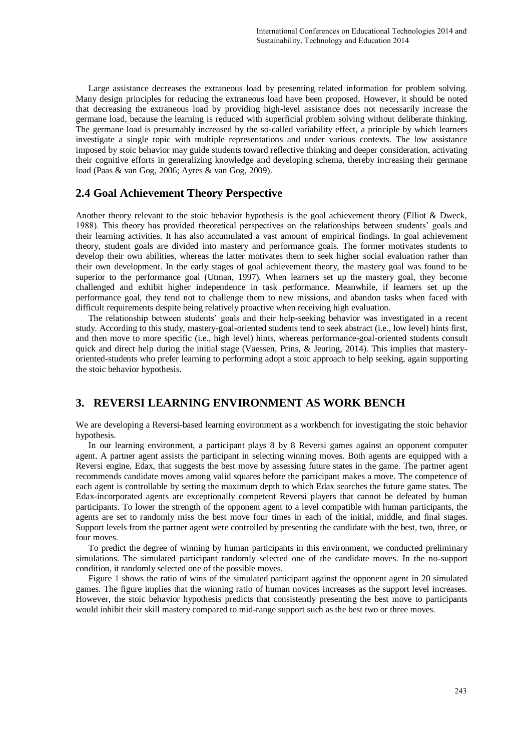Large assistance decreases the extraneous load by presenting related information for problem solving. Many design principles for reducing the extraneous load have been proposed. However, it should be noted that decreasing the extraneous load by providing high-level assistance does not necessarily increase the germane load, because the learning is reduced with superficial problem solving without deliberate thinking. The germane load is presumably increased by the so-called variability effect, a principle by which learners investigate a single topic with multiple representations and under various contexts. The low assistance imposed by stoic behavior may guide students toward reflective thinking and deeper consideration, activating their cognitive efforts in generalizing knowledge and developing schema, thereby increasing their germane load (Paas & van Gog, 2006; Ayres & van Gog, 2009).

# **2.4 Goal Achievement Theory Perspective**

Another theory relevant to the stoic behavior hypothesis is the goal achievement theory (Elliot & Dweck, 1988). This theory has provided theoretical perspectives on the relationships between students' goals and their learning activities. It has also accumulated a vast amount of empirical findings. In goal achievement theory, student goals are divided into mastery and performance goals. The former motivates students to develop their own abilities, whereas the latter motivates them to seek higher social evaluation rather than their own development. In the early stages of goal achievement theory, the mastery goal was found to be superior to the performance goal (Utman, 1997). When learners set up the mastery goal, they become challenged and exhibit higher independence in task performance. Meanwhile, if learners set up the performance goal, they tend not to challenge them to new missions, and abandon tasks when faced with difficult requirements despite being relatively proactive when receiving high evaluation.

The relationship between students' goals and their help-seeking behavior was investigated in a recent study. According to this study, mastery-goal-oriented students tend to seek abstract (i.e., low level) hints first, and then move to more specific (i.e., high level) hints, whereas performance-goal-oriented students consult quick and direct help during the initial stage (Vaessen, Prins, & Jeuring, 2014). This implies that masteryoriented-students who prefer learning to performing adopt a stoic approach to help seeking, again supporting the stoic behavior hypothesis.

### **3. REVERSI LEARNING ENVIRONMENT AS WORK BENCH**

We are developing a Reversi-based learning environment as a workbench for investigating the stoic behavior hypothesis.

In our learning environment, a participant plays 8 by 8 Reversi games against an opponent computer agent. A partner agent assists the participant in selecting winning moves. Both agents are equipped with a Reversi engine, Edax, that suggests the best move by assessing future states in the game. The partner agent recommends candidate moves among valid squares before the participant makes a move. The competence of each agent is controllable by setting the maximum depth to which Edax searches the future game states. The Edax-incorporated agents are exceptionally competent Reversi players that cannot be defeated by human participants. To lower the strength of the opponent agent to a level compatible with human participants, the agents are set to randomly miss the best move four times in each of the initial, middle, and final stages. Support levels from the partner agent were controlled by presenting the candidate with the best, two, three, or four moves.

To predict the degree of winning by human participants in this environment, we conducted preliminary simulations. The simulated participant randomly selected one of the candidate moves. In the no-support condition, it randomly selected one of the possible moves.

Figure 1 shows the ratio of wins of the simulated participant against the opponent agent in 20 simulated games. The figure implies that the winning ratio of human novices increases as the support level increases. However, the stoic behavior hypothesis predicts that consistently presenting the best move to participants would inhibit their skill mastery compared to mid-range support such as the best two or three moves.